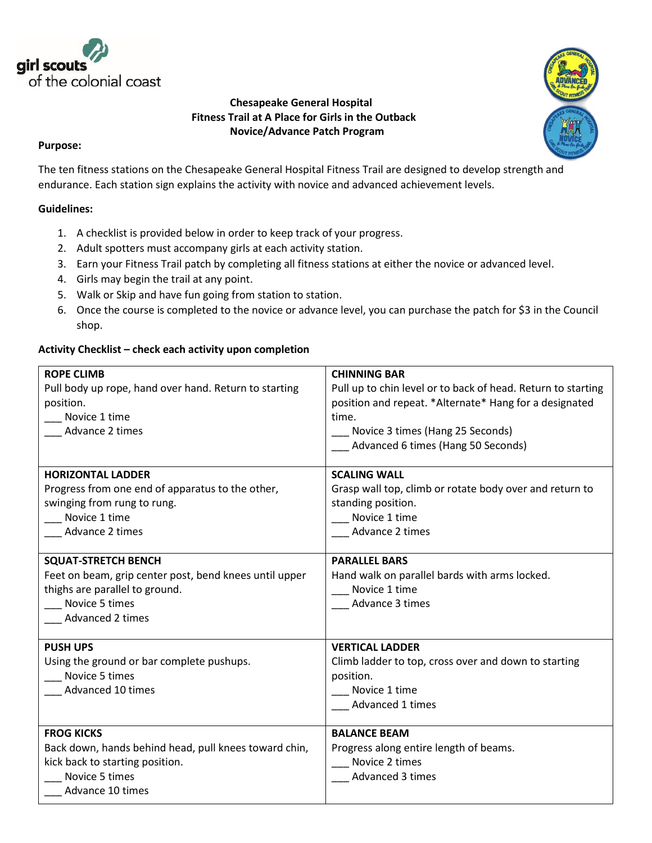

## **Chesapeake General Hospital Fitness Trail at A Place for Girls in the Outback Novice/Advance Patch Program**



## **Purpose:**

The ten fitness stations on the Chesapeake General Hospital Fitness Trail are designed to develop strength and endurance. Each station sign explains the activity with novice and advanced achievement levels.

## **Guidelines:**

- 1. A checklist is provided below in order to keep track of your progress.
- 2. Adult spotters must accompany girls at each activity station.
- 3. Earn your Fitness Trail patch by completing all fitness stations at either the novice or advanced level.
- 4. Girls may begin the trail at any point.
- 5. Walk or Skip and have fun going from station to station.
- 6. Once the course is completed to the novice or advance level, you can purchase the patch for \$3 in the Council shop.

## **Activity Checklist – check each activity upon completion**

| <b>ROPE CLIMB</b>                                      | <b>CHINNING BAR</b>                                          |
|--------------------------------------------------------|--------------------------------------------------------------|
| Pull body up rope, hand over hand. Return to starting  | Pull up to chin level or to back of head. Return to starting |
| position.                                              | position and repeat. *Alternate* Hang for a designated       |
| Novice 1 time                                          | time.                                                        |
| Advance 2 times                                        | Novice 3 times (Hang 25 Seconds)                             |
|                                                        | Advanced 6 times (Hang 50 Seconds)                           |
|                                                        |                                                              |
| <b>HORIZONTAL LADDER</b>                               | <b>SCALING WALL</b>                                          |
| Progress from one end of apparatus to the other,       | Grasp wall top, climb or rotate body over and return to      |
| swinging from rung to rung.                            | standing position.                                           |
| Novice 1 time                                          | Novice 1 time                                                |
| Advance 2 times                                        | Advance 2 times                                              |
|                                                        |                                                              |
| <b>SQUAT-STRETCH BENCH</b>                             | <b>PARALLEL BARS</b>                                         |
| Feet on beam, grip center post, bend knees until upper | Hand walk on parallel bards with arms locked.                |
| thighs are parallel to ground.                         | Novice 1 time                                                |
| Novice 5 times                                         | Advance 3 times                                              |
| Advanced 2 times                                       |                                                              |
|                                                        |                                                              |
| <b>PUSH UPS</b>                                        | <b>VERTICAL LADDER</b>                                       |
| Using the ground or bar complete pushups.              | Climb ladder to top, cross over and down to starting         |
| Novice 5 times                                         | position.                                                    |
| Advanced 10 times                                      | Novice 1 time                                                |
|                                                        | Advanced 1 times                                             |
|                                                        |                                                              |
| <b>FROG KICKS</b>                                      | <b>BALANCE BEAM</b>                                          |
| Back down, hands behind head, pull knees toward chin,  | Progress along entire length of beams.                       |
| kick back to starting position.                        | Novice 2 times                                               |
| Novice 5 times                                         | Advanced 3 times                                             |
| Advance 10 times                                       |                                                              |